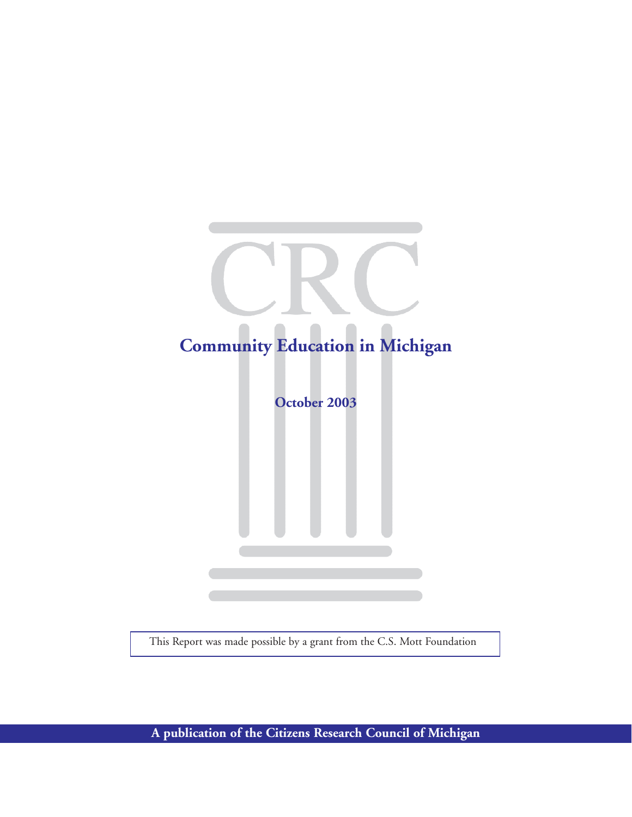# **Community Education in Michigan October 2003**

This Report was made possible by a grant from the C.S. Mott Foundation

**A publication of the Citizens Research Council of Michigan**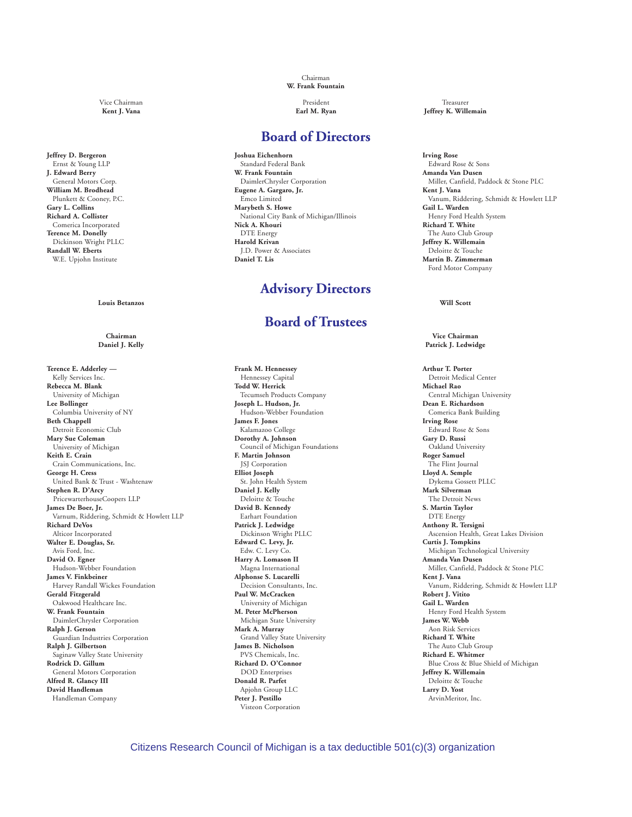**Jeffrey D. Bergeron** Ernst & Young LLP **J. Edward Berry** General Motors Corp. **William M. Brodhead** Plunkett & Cooney, P.C. **Gary L. Collins Richard A. Collister** Comerica Incorporated **Terence M. Donelly** Dickinson Wright PLLC **Randall W. Eberts** W.E. Upjohn Institute

**Louis Betanzos Will Scott**

**Terence E. Adderley —** Kelly Services Inc. **Rebecca M. Blank** University of Michigan **Lee Bollinger** Columbia University of NY **Beth Chappell** Detroit Economic Club **Mary Sue Coleman** University of Michigan **Keith E. Crain** Crain Communications, Inc. **George H. Cress** United Bank & Trust - Washtenaw **Stephen R. D'Arcy** PricewarterhouseCoopers LLP **James De Boer, Jr.** Varnum, Riddering, Schmidt & Howlett LLP **Richard DeVos** Alticor Incorporated **Walter E. Douglas, Sr.** Avis Ford, Inc. **David O. Egner** Hudson-Webber Foundation **James V. Finkbeiner** Harvey Randall Wickes Foundation **Gerald Fitzgerald** Oakwood Healthcare Inc. **W. Frank Fountain** DaimlerChrysler Corporation **Ralph J. Gerson** Guardian Industries Corporation **Ralph J. Gilbertson** Saginaw Valley State University **Rodrick D. Gillum** General Motors Corporation **Alfred R. Glancy III David Handleman** Handleman Company

Chairman **W. Frank Fountain**

#### **Board of Directors**

**Joshua Eichenhorn** Standard Federal Bank **W. Frank Fountain** DaimlerChrysler Corporation **Eugene A. Gargaro, Jr.** Emco Limited **Marybeth S. Howe** National City Bank of Michigan/Illinois **Nick A. Khouri** DTE Energy **Harold Krivan** J.D. Power & Associates **Daniel T. Lis**

# **Advisory Directors**

# **Board of Trustees**

**Frank M. Hennessey** Hennessey Capital **Todd W. Herrick** Tecumseh Products Company **Joseph L. Hudson, Jr.** Hudson-Webber Foundation **James F. Jones** Kalamazoo College **Dorothy A. Johnson** Council of Michigan Foundations **F. Martin Johnson** JSJ Corporation **Elliot Joseph** St. John Health System **Daniel J. Kelly** Deloitte & Touche **David B. Kennedy** Earhart Foundation **Patrick J. Ledwidge** Dickinson Wright PLLC **Edward C. Levy, Jr.** Edw. C. Levy Co. **Harry A. Lomason II** Magna International **Alphonse S. Lucarelli** Decision Consultants, Inc. **Paul W. McCracken** University of Michigan **M. Peter McPherson** Michigan State University **Mark A. Murray** Grand Valley State University **James B. Nicholson** PVS Chemicals, Inc. **Richard D. O'Connor** DOD Enterprises **Donald R. Parfet** Apjohn Group LLC **Peter J. Pestillo** Visteon Corporation

Vice Chairman President Treasurer Kent J. Vana **Kent J. Vana Earl M. Ryan** Earl M. Ryan **Jeffrey K. Willemain** 

> **Irving Rose** Edward Rose & Sons **Amanda Van Dusen** Miller, Canfield, Paddock & Stone PLC **Kent J. Vana** Vanum, Riddering, Schmidt & Howlett LLP **Gail L. Warden** Henry Ford Health System **Richard T. White** The Auto Club Group **Jeffrey K. Willemain** Deloitte & Touche **Martin B. Zimmerman** Ford Motor Company

**Chairman Vice Chairman Daniel J. Kelly Patrick J. Ledwidge**

> **Arthur T. Porter** Detroit Medical Center **Michael Rao** Central Michigan University **Dean E. Richardson** Comerica Bank Building **Irving Rose** Edward Rose & Sons **Gary D. Russi** Oakland University **Roger Samuel** The Flint Journal **Lloyd A. Semple** Dykema Gossett PLLC **Mark Silverman** The Detroit News **S. Martin Taylor** DTE Energy **Anthony R. Tersigni** Ascension Health, Great Lakes Division **Curtis J. Tompkins** Michigan Technological University **Amanda Van Dusen** Miller, Canfield, Paddock & Stone PLC **Kent J. Vana** Vanum, Riddering, Schmidt & Howlett LLP **Robert J. Vitito Gail L. Warden** Henry Ford Health System **James W. Webb** Aon Risk Services **Richard T. White** The Auto Club Group **Richard E. Whitmer** Blue Cross & Blue Shield of Michigan **Jeffrey K. Willemain** Deloitte & Touche **Larry D. Yost** ArvinMeritor, Inc.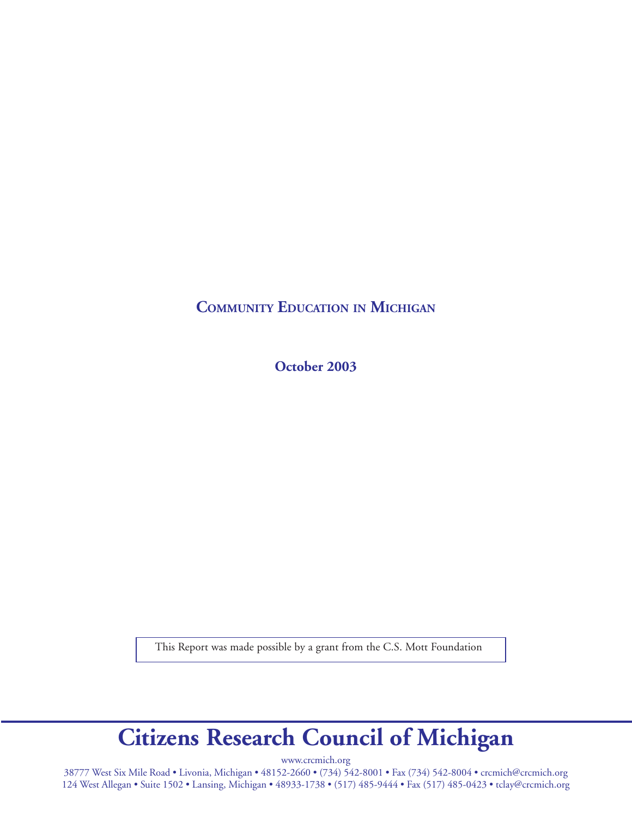**COMMUNITY EDUCATION IN MICHIGAN**

**October 2003**

This Report was made possible by a grant from the C.S. Mott Foundation

# **Citizens Research Council of Michigan**

www.crcmich.org

38777 West Six Mile Road • Livonia, Michigan • 48152-2660 • (734) 542-8001 • Fax (734) 542-8004 • crcmich@crcmich.org 124 West Allegan • Suite 1502 • Lansing, Michigan • 48933-1738 • (517) 485-9444 • Fax (517) 485-0423 • tclay@crcmich.org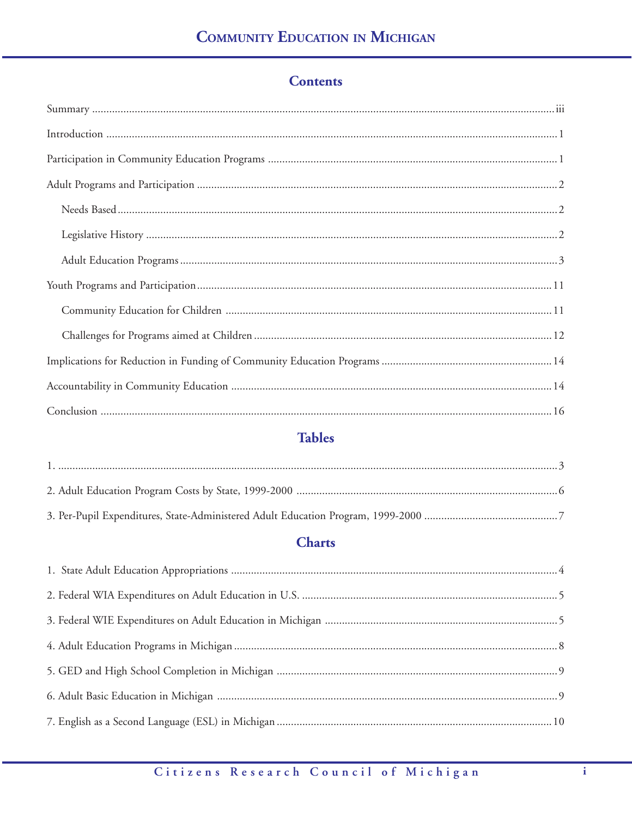# **Contents**

# **Tables**

# **Charts**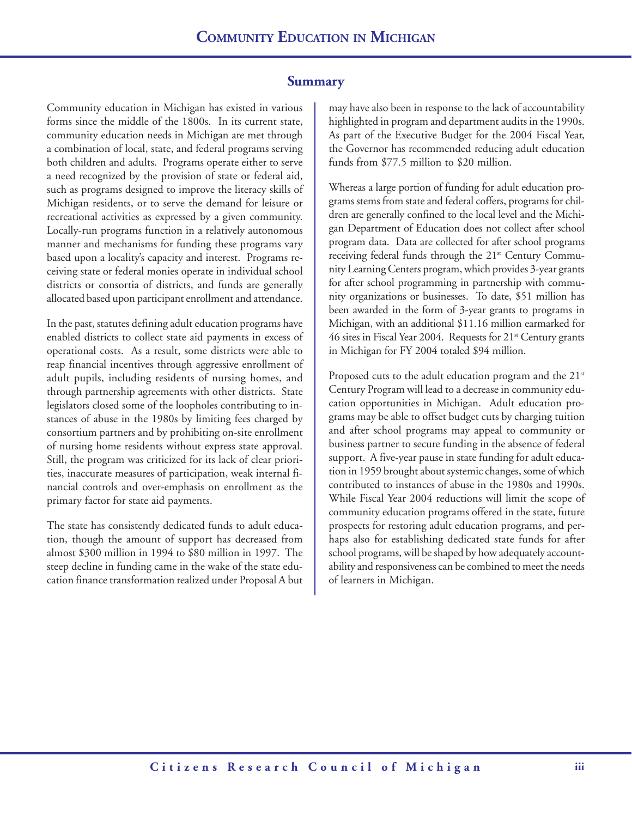### **Summary**

Community education in Michigan has existed in various forms since the middle of the 1800s. In its current state, community education needs in Michigan are met through a combination of local, state, and federal programs serving both children and adults. Programs operate either to serve a need recognized by the provision of state or federal aid, such as programs designed to improve the literacy skills of Michigan residents, or to serve the demand for leisure or recreational activities as expressed by a given community. Locally-run programs function in a relatively autonomous manner and mechanisms for funding these programs vary based upon a locality's capacity and interest. Programs receiving state or federal monies operate in individual school districts or consortia of districts, and funds are generally allocated based upon participant enrollment and attendance.

In the past, statutes defining adult education programs have enabled districts to collect state aid payments in excess of operational costs. As a result, some districts were able to reap financial incentives through aggressive enrollment of adult pupils, including residents of nursing homes, and through partnership agreements with other districts. State legislators closed some of the loopholes contributing to instances of abuse in the 1980s by limiting fees charged by consortium partners and by prohibiting on-site enrollment of nursing home residents without express state approval. Still, the program was criticized for its lack of clear priorities, inaccurate measures of participation, weak internal financial controls and over-emphasis on enrollment as the primary factor for state aid payments.

The state has consistently dedicated funds to adult education, though the amount of support has decreased from almost \$300 million in 1994 to \$80 million in 1997. The steep decline in funding came in the wake of the state education finance transformation realized under Proposal A but may have also been in response to the lack of accountability highlighted in program and department audits in the 1990s. As part of the Executive Budget for the 2004 Fiscal Year, the Governor has recommended reducing adult education funds from \$77.5 million to \$20 million.

Whereas a large portion of funding for adult education programs stems from state and federal coffers, programs for children are generally confined to the local level and the Michigan Department of Education does not collect after school program data. Data are collected for after school programs receiving federal funds through the 21<sup>st</sup> Century Community Learning Centers program, which provides 3-year grants for after school programming in partnership with community organizations or businesses. To date, \$51 million has been awarded in the form of 3-year grants to programs in Michigan, with an additional \$11.16 million earmarked for 46 sites in Fiscal Year 2004. Requests for  $21<sup>st</sup>$  Century grants in Michigan for FY 2004 totaled \$94 million.

Proposed cuts to the adult education program and the 21<sup>st</sup> Century Program will lead to a decrease in community education opportunities in Michigan. Adult education programs may be able to offset budget cuts by charging tuition and after school programs may appeal to community or business partner to secure funding in the absence of federal support. A five-year pause in state funding for adult education in 1959 brought about systemic changes, some of which contributed to instances of abuse in the 1980s and 1990s. While Fiscal Year 2004 reductions will limit the scope of community education programs offered in the state, future prospects for restoring adult education programs, and perhaps also for establishing dedicated state funds for after school programs, will be shaped by how adequately accountability and responsiveness can be combined to meet the needs of learners in Michigan.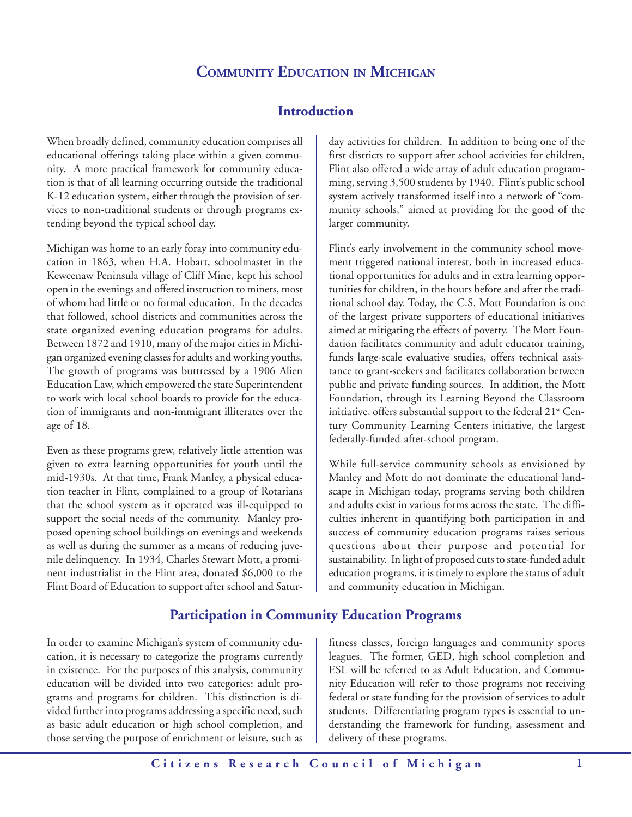# **COMMUNITY EDUCATION IN MICHIGAN**

# **Introduction**

When broadly defined, community education comprises all educational offerings taking place within a given community. A more practical framework for community education is that of all learning occurring outside the traditional K-12 education system, either through the provision of services to non-traditional students or through programs extending beyond the typical school day.

Michigan was home to an early foray into community education in 1863, when H.A. Hobart, schoolmaster in the Keweenaw Peninsula village of Cliff Mine, kept his school open in the evenings and offered instruction to miners, most of whom had little or no formal education. In the decades that followed, school districts and communities across the state organized evening education programs for adults. Between 1872 and 1910, many of the major cities in Michigan organized evening classes for adults and working youths. The growth of programs was buttressed by a 1906 Alien Education Law, which empowered the state Superintendent to work with local school boards to provide for the education of immigrants and non-immigrant illiterates over the age of 18.

Even as these programs grew, relatively little attention was given to extra learning opportunities for youth until the mid-1930s. At that time, Frank Manley, a physical education teacher in Flint, complained to a group of Rotarians that the school system as it operated was ill-equipped to support the social needs of the community. Manley proposed opening school buildings on evenings and weekends as well as during the summer as a means of reducing juvenile delinquency. In 1934, Charles Stewart Mott, a prominent industrialist in the Flint area, donated \$6,000 to the Flint Board of Education to support after school and Satur-

**Participation in Community Education Programs**

In order to examine Michigan's system of community education, it is necessary to categorize the programs currently in existence. For the purposes of this analysis, community education will be divided into two categories: adult programs and programs for children. This distinction is divided further into programs addressing a specific need, such as basic adult education or high school completion, and those serving the purpose of enrichment or leisure, such as

day activities for children. In addition to being one of the first districts to support after school activities for children, Flint also offered a wide array of adult education programming, serving 3,500 students by 1940. Flint's public school system actively transformed itself into a network of "community schools," aimed at providing for the good of the larger community.

Flint's early involvement in the community school movement triggered national interest, both in increased educational opportunities for adults and in extra learning opportunities for children, in the hours before and after the traditional school day. Today, the C.S. Mott Foundation is one of the largest private supporters of educational initiatives aimed at mitigating the effects of poverty. The Mott Foundation facilitates community and adult educator training, funds large-scale evaluative studies, offers technical assistance to grant-seekers and facilitates collaboration between public and private funding sources. In addition, the Mott Foundation, through its Learning Beyond the Classroom initiative, offers substantial support to the federal  $21<sup>st</sup>$  Century Community Learning Centers initiative, the largest federally-funded after-school program.

While full-service community schools as envisioned by Manley and Mott do not dominate the educational landscape in Michigan today, programs serving both children and adults exist in various forms across the state. The difficulties inherent in quantifying both participation in and success of community education programs raises serious questions about their purpose and potential for sustainability. In light of proposed cuts to state-funded adult education programs, it is timely to explore the status of adult and community education in Michigan.

fitness classes, foreign languages and community sports leagues. The former, GED, high school completion and ESL will be referred to as Adult Education, and Community Education will refer to those programs not receiving federal or state funding for the provision of services to adult students. Differentiating program types is essential to understanding the framework for funding, assessment and delivery of these programs.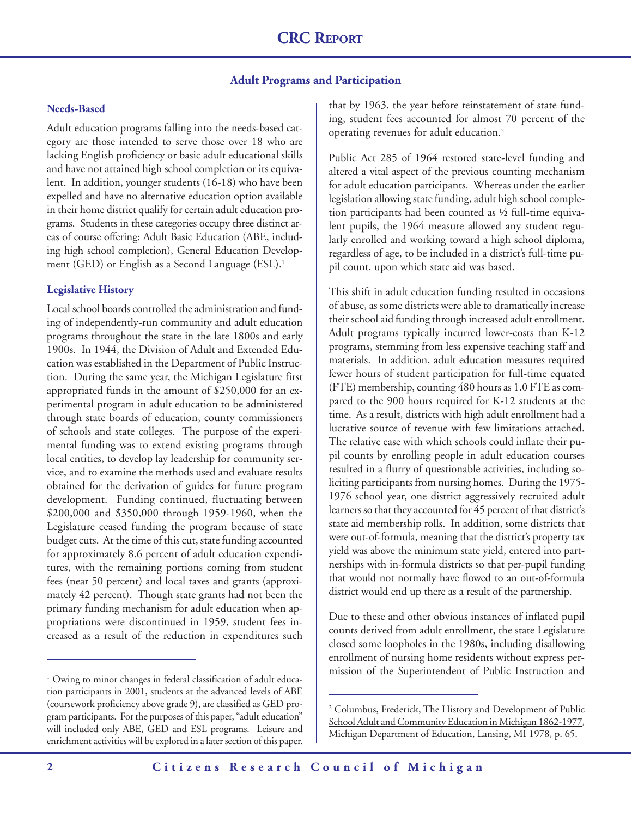#### **Adult Programs and Participation**

#### **Needs-Based**

Adult education programs falling into the needs-based category are those intended to serve those over 18 who are lacking English proficiency or basic adult educational skills and have not attained high school completion or its equivalent. In addition, younger students (16-18) who have been expelled and have no alternative education option available in their home district qualify for certain adult education programs. Students in these categories occupy three distinct areas of course offering: Adult Basic Education (ABE, including high school completion), General Education Development (GED) or English as a Second Language (ESL).<sup>1</sup>

#### **Legislative History**

Local school boards controlled the administration and funding of independently-run community and adult education programs throughout the state in the late 1800s and early 1900s. In 1944, the Division of Adult and Extended Education was established in the Department of Public Instruction. During the same year, the Michigan Legislature first appropriated funds in the amount of \$250,000 for an experimental program in adult education to be administered through state boards of education, county commissioners of schools and state colleges. The purpose of the experimental funding was to extend existing programs through local entities, to develop lay leadership for community service, and to examine the methods used and evaluate results obtained for the derivation of guides for future program development. Funding continued, fluctuating between \$200,000 and \$350,000 through 1959-1960, when the Legislature ceased funding the program because of state budget cuts. At the time of this cut, state funding accounted for approximately 8.6 percent of adult education expenditures, with the remaining portions coming from student fees (near 50 percent) and local taxes and grants (approximately 42 percent). Though state grants had not been the primary funding mechanism for adult education when appropriations were discontinued in 1959, student fees increased as a result of the reduction in expenditures such

that by 1963, the year before reinstatement of state funding, student fees accounted for almost 70 percent of the operating revenues for adult education.2

Public Act 285 of 1964 restored state-level funding and altered a vital aspect of the previous counting mechanism for adult education participants. Whereas under the earlier legislation allowing state funding, adult high school completion participants had been counted as ½ full-time equivalent pupils, the 1964 measure allowed any student regularly enrolled and working toward a high school diploma, regardless of age, to be included in a district's full-time pupil count, upon which state aid was based.

This shift in adult education funding resulted in occasions of abuse, as some districts were able to dramatically increase their school aid funding through increased adult enrollment. Adult programs typically incurred lower-costs than K-12 programs, stemming from less expensive teaching staff and materials. In addition, adult education measures required fewer hours of student participation for full-time equated (FTE) membership, counting 480 hours as 1.0 FTE as compared to the 900 hours required for K-12 students at the time. As a result, districts with high adult enrollment had a lucrative source of revenue with few limitations attached. The relative ease with which schools could inflate their pupil counts by enrolling people in adult education courses resulted in a flurry of questionable activities, including soliciting participants from nursing homes. During the 1975- 1976 school year, one district aggressively recruited adult learners so that they accounted for 45 percent of that district's state aid membership rolls. In addition, some districts that were out-of-formula, meaning that the district's property tax yield was above the minimum state yield, entered into partnerships with in-formula districts so that per-pupil funding that would not normally have flowed to an out-of-formula district would end up there as a result of the partnership.

Due to these and other obvious instances of inflated pupil counts derived from adult enrollment, the state Legislature closed some loopholes in the 1980s, including disallowing enrollment of nursing home residents without express permission of the Superintendent of Public Instruction and <sup>1</sup>

<sup>&</sup>lt;sup>1</sup> Owing to minor changes in federal classification of adult education participants in 2001, students at the advanced levels of ABE (coursework proficiency above grade 9), are classified as GED program participants. For the purposes of this paper, "adult education" will included only ABE, GED and ESL programs. Leisure and enrichment activities will be explored in a later section of this paper.

<sup>&</sup>lt;sup>2</sup> Columbus, Frederick, <u>The History and Development of Public</u> School Adult and Community Education in Michigan 1862-1977, Michigan Department of Education, Lansing, MI 1978, p. 65.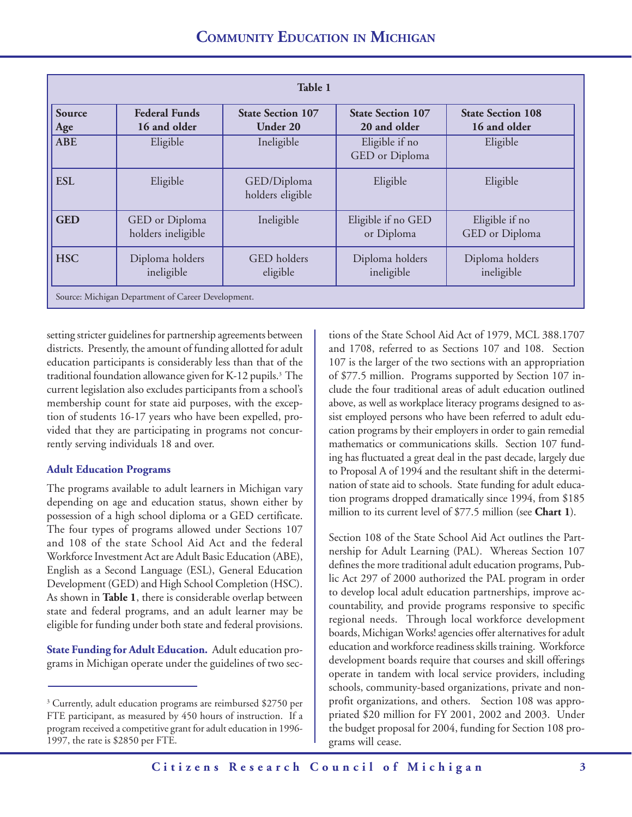| Table 1       |                                                    |                                      |                                          |                                          |
|---------------|----------------------------------------------------|--------------------------------------|------------------------------------------|------------------------------------------|
| Source<br>Age | <b>Federal Funds</b><br>16 and older               | <b>State Section 107</b><br>Under 20 | <b>State Section 107</b><br>20 and older | <b>State Section 108</b><br>16 and older |
| <b>ABE</b>    | Eligible                                           | Ineligible                           | Eligible if no<br>GED or Diploma         | Eligible                                 |
| <b>ESL</b>    | Eligible                                           | GED/Diploma<br>holders eligible      | Eligible                                 | Eligible                                 |
| <b>GED</b>    | GED or Diploma<br>holders ineligible               | Ineligible                           | Eligible if no GED<br>or Diploma         | Eligible if no<br>GED or Diploma         |
| <b>HSC</b>    | Diploma holders<br>ineligible                      | GED holders<br>eligible              | Diploma holders<br>ineligible            | Diploma holders<br>ineligible            |
|               | Source: Michigan Department of Career Development. |                                      |                                          |                                          |

setting stricter guidelines for partnership agreements between districts. Presently, the amount of funding allotted for adult education participants is considerably less than that of the traditional foundation allowance given for K-12 pupils.<sup>3</sup> The current legislation also excludes participants from a school's membership count for state aid purposes, with the exception of students 16-17 years who have been expelled, provided that they are participating in programs not concurrently serving individuals 18 and over.

#### **Adult Education Programs**

The programs available to adult learners in Michigan vary depending on age and education status, shown either by possession of a high school diploma or a GED certificate. The four types of programs allowed under Sections 107 and 108 of the state School Aid Act and the federal Workforce Investment Act are Adult Basic Education (ABE), English as a Second Language (ESL), General Education Development (GED) and High School Completion (HSC). As shown in **Table 1**, there is considerable overlap between state and federal programs, and an adult learner may be eligible for funding under both state and federal provisions.

**State Funding for Adult Education.** Adult education programs in Michigan operate under the guidelines of two sections of the State School Aid Act of 1979, MCL 388.1707 and 1708, referred to as Sections 107 and 108. Section 107 is the larger of the two sections with an appropriation of \$77.5 million. Programs supported by Section 107 include the four traditional areas of adult education outlined above, as well as workplace literacy programs designed to assist employed persons who have been referred to adult education programs by their employers in order to gain remedial mathematics or communications skills. Section 107 funding has fluctuated a great deal in the past decade, largely due to Proposal A of 1994 and the resultant shift in the determination of state aid to schools. State funding for adult education programs dropped dramatically since 1994, from \$185 million to its current level of \$77.5 million (see **Chart 1**).

Section 108 of the State School Aid Act outlines the Partnership for Adult Learning (PAL). Whereas Section 107 defines the more traditional adult education programs, Public Act 297 of 2000 authorized the PAL program in order to develop local adult education partnerships, improve accountability, and provide programs responsive to specific regional needs. Through local workforce development boards, Michigan Works! agencies offer alternatives for adult education and workforce readiness skills training. Workforce development boards require that courses and skill offerings operate in tandem with local service providers, including schools, community-based organizations, private and nonprofit organizations, and others. Section 108 was appropriated \$20 million for FY 2001, 2002 and 2003. Under the budget proposal for 2004, funding for Section 108 programs will cease.

<sup>3</sup> Currently, adult education programs are reimbursed \$2750 per FTE participant, as measured by 450 hours of instruction. If a program received a competitive grant for adult education in 1996- 1997, the rate is \$2850 per FTE.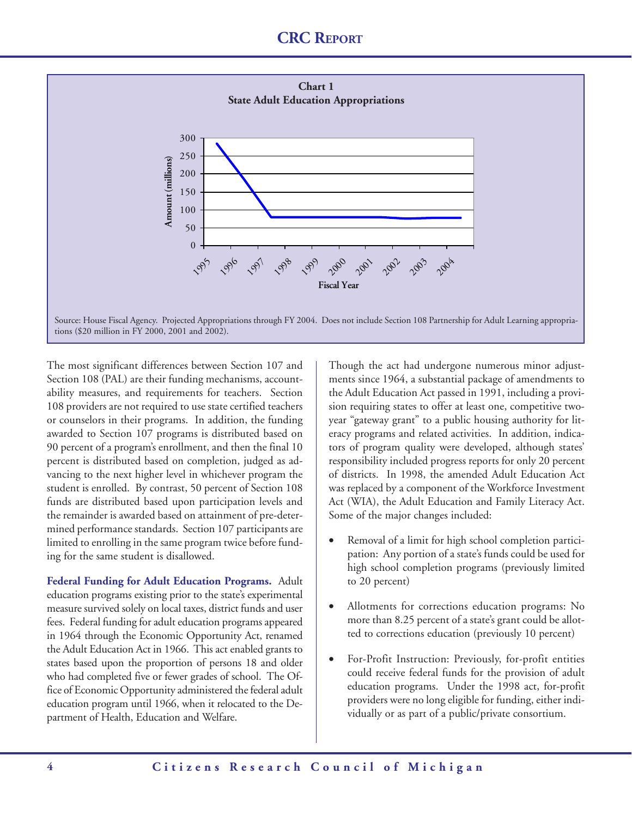

The most significant differences between Section 107 and Section 108 (PAL) are their funding mechanisms, accountability measures, and requirements for teachers. Section 108 providers are not required to use state certified teachers or counselors in their programs. In addition, the funding awarded to Section 107 programs is distributed based on 90 percent of a program's enrollment, and then the final 10 percent is distributed based on completion, judged as advancing to the next higher level in whichever program the student is enrolled. By contrast, 50 percent of Section 108 funds are distributed based upon participation levels and the remainder is awarded based on attainment of pre-determined performance standards. Section 107 participants are limited to enrolling in the same program twice before funding for the same student is disallowed.

**Federal Funding for Adult Education Programs.** Adult education programs existing prior to the state's experimental measure survived solely on local taxes, district funds and user fees. Federal funding for adult education programs appeared in 1964 through the Economic Opportunity Act, renamed the Adult Education Act in 1966. This act enabled grants to states based upon the proportion of persons 18 and older who had completed five or fewer grades of school. The Office of Economic Opportunity administered the federal adult education program until 1966, when it relocated to the Department of Health, Education and Welfare.

Though the act had undergone numerous minor adjustments since 1964, a substantial package of amendments to the Adult Education Act passed in 1991, including a provision requiring states to offer at least one, competitive twoyear "gateway grant" to a public housing authority for literacy programs and related activities. In addition, indicators of program quality were developed, although states' responsibility included progress reports for only 20 percent of districts. In 1998, the amended Adult Education Act was replaced by a component of the Workforce Investment Act (WIA), the Adult Education and Family Literacy Act. Some of the major changes included:

- Removal of a limit for high school completion participation: Any portion of a state's funds could be used for high school completion programs (previously limited to 20 percent)
- Allotments for corrections education programs: No more than 8.25 percent of a state's grant could be allotted to corrections education (previously 10 percent)
- For-Profit Instruction: Previously, for-profit entities could receive federal funds for the provision of adult education programs. Under the 1998 act, for-profit providers were no long eligible for funding, either individually or as part of a public/private consortium.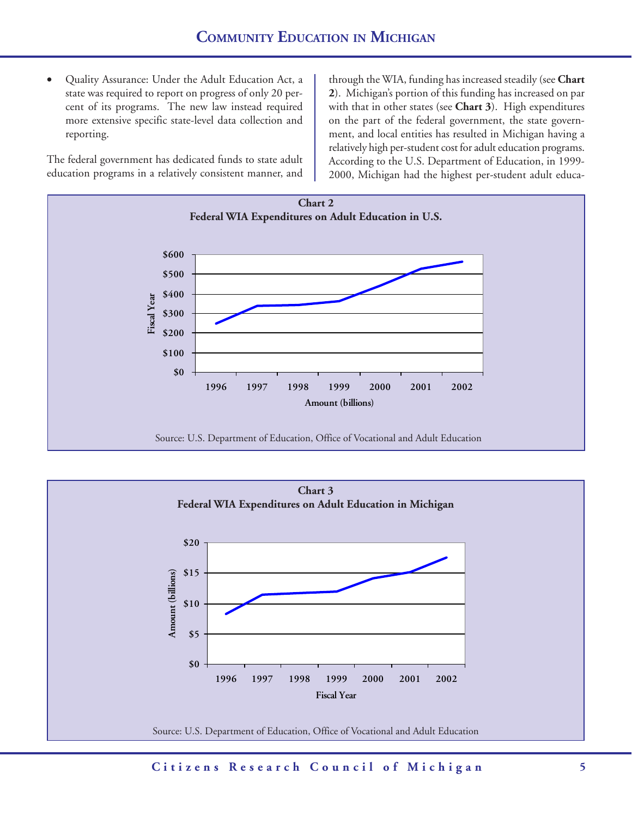• Quality Assurance: Under the Adult Education Act, a state was required to report on progress of only 20 percent of its programs. The new law instead required more extensive specific state-level data collection and reporting.

The federal government has dedicated funds to state adult education programs in a relatively consistent manner, and through the WIA, funding has increased steadily (see **Chart 2**). Michigan's portion of this funding has increased on par with that in other states (see **Chart 3**). High expenditures on the part of the federal government, the state government, and local entities has resulted in Michigan having a relatively high per-student cost for adult education programs. According to the U.S. Department of Education, in 1999- 2000, Michigan had the highest per-student adult educa-



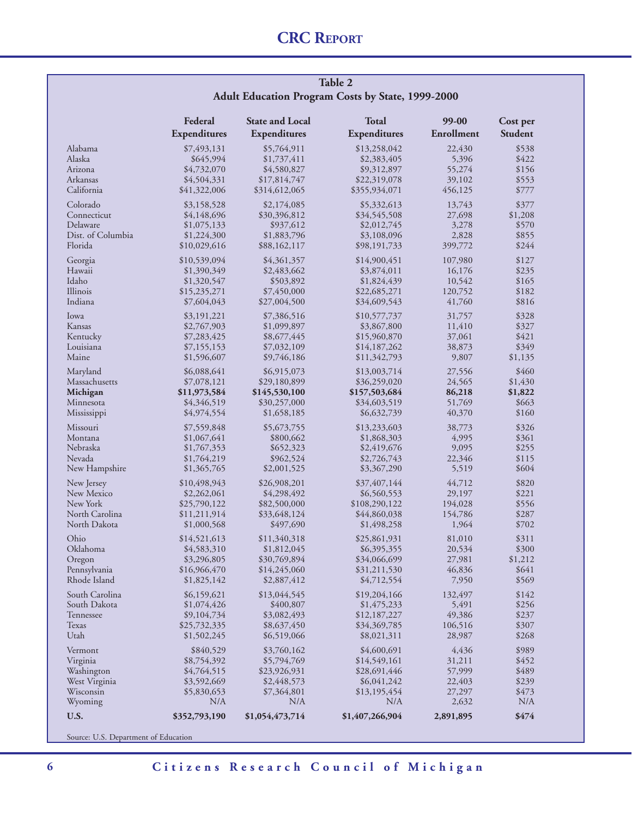#### **Table 2 Adult Education Program Costs by State, 1999-2000**

|                                                                     | Federal                                                                                  | <b>State and Local</b>                                                                   | <b>Total</b>                                                                               | 99-00                                          | Cost per                                             |
|---------------------------------------------------------------------|------------------------------------------------------------------------------------------|------------------------------------------------------------------------------------------|--------------------------------------------------------------------------------------------|------------------------------------------------|------------------------------------------------------|
|                                                                     | Expenditures                                                                             | Expenditures                                                                             | Expenditures                                                                               | Enrollment                                     | <b>Student</b>                                       |
| Alabama<br>Alaska<br>Arizona<br>Arkansas<br>California              | \$7,493,131<br>\$645,994<br>\$4,732,070<br>\$4,504,331                                   | \$5,764,911<br>\$1,737,411<br>\$4,580,827<br>\$17,814,747                                | \$13,258,042<br>\$2,383,405<br>\$9,312,897<br>\$22,319,078                                 | 22,430<br>5,396<br>55,274<br>39,102<br>456,125 | \$538<br>\$422<br>\$156<br>\$553                     |
| Colorado<br>Connecticut<br>Delaware<br>Dist. of Columbia<br>Florida | \$41,322,006<br>\$3,158,528<br>\$4,148,696<br>\$1,075,133<br>\$1,224,300<br>\$10,029,616 | \$314,612,065<br>\$2,174,085<br>\$30,396,812<br>\$937,612<br>\$1,883,796<br>\$88,162,117 | \$355,934,071<br>\$5,332,613<br>\$34,545,508<br>\$2,012,745<br>\$3,108,096<br>\$98,191,733 | 13,743<br>27,698<br>3,278<br>2,828<br>399,772  | \$777<br>\$377<br>\$1,208<br>\$570<br>\$855<br>\$244 |
| Georgia                                                             | \$10,539,094                                                                             | \$4,361,357                                                                              | \$14,900,451                                                                               | 107,980                                        | \$127                                                |
| Hawaii                                                              | \$1,390,349                                                                              | \$2,483,662                                                                              | \$3,874,011                                                                                | 16,176                                         | \$235                                                |
| Idaho                                                               | \$1,320,547                                                                              | \$503,892                                                                                | \$1,824,439                                                                                | 10,542                                         | \$165                                                |
| Illinois                                                            | \$15,235,271                                                                             | \$7,450,000                                                                              | \$22,685,271                                                                               | 120,752                                        | \$182                                                |
| Indiana                                                             | \$7,604,043                                                                              | \$27,004,500                                                                             | \$34,609,543                                                                               | 41,760                                         | \$816                                                |
| Iowa                                                                | \$3,191,221                                                                              | \$7,386,516                                                                              | \$10,577,737                                                                               | 31,757                                         | \$328                                                |
| Kansas                                                              | \$2,767,903                                                                              | \$1,099,897                                                                              | \$3,867,800                                                                                | 11,410                                         | \$327                                                |
| Kentucky                                                            | \$7,283,425                                                                              | \$8,677,445                                                                              | \$15,960,870                                                                               | 37,061                                         | \$421                                                |
| Louisiana                                                           | \$7,155,153                                                                              | \$7,032,109                                                                              | \$14,187,262                                                                               | 38,873                                         | \$349                                                |
| Maine                                                               | \$1,596,607                                                                              | \$9,746,186                                                                              | \$11,342,793                                                                               | 9,807                                          | \$1,135                                              |
| Maryland                                                            | \$6,088,641                                                                              | \$6,915,073                                                                              | \$13,003,714                                                                               | 27,556                                         | \$460                                                |
| Massachusetts                                                       | \$7,078,121                                                                              | \$29,180,899                                                                             | \$36,259,020                                                                               | 24,565                                         | \$1,430                                              |
| Michigan                                                            | \$11,973,584                                                                             | \$145,530,100                                                                            | \$157,503,684                                                                              | 86,218                                         | \$1,822                                              |
| Minnesota                                                           | \$4,346,519                                                                              | \$30,257,000                                                                             | \$34,603,519                                                                               | 51,769                                         | \$663                                                |
| Mississippi                                                         | \$4,974,554                                                                              | \$1,658,185                                                                              | \$6,632,739                                                                                | 40,370                                         | \$160                                                |
| Missouri                                                            | \$7,559,848                                                                              | \$5,673,755                                                                              | \$13,233,603                                                                               | 38,773                                         | \$326                                                |
| Montana                                                             | \$1,067,641                                                                              | \$800,662                                                                                | \$1,868,303                                                                                | 4,995                                          | \$361                                                |
| Nebraska                                                            | \$1,767,353                                                                              | \$652,323                                                                                | \$2,419,676                                                                                | 9,095                                          | \$255                                                |
| Nevada                                                              | \$1,764,219                                                                              | \$962,524                                                                                | \$2,726,743                                                                                | 22,346                                         | \$115                                                |
| New Hampshire                                                       | \$1,365,765                                                                              | \$2,001,525                                                                              | \$3,367,290                                                                                | 5,519                                          | \$604                                                |
| New Jersey                                                          | \$10,498,943                                                                             | \$26,908,201                                                                             | \$37,407,144                                                                               | 44,712                                         | \$820                                                |
| New Mexico                                                          | \$2,262,061                                                                              | \$4,298,492                                                                              | \$6,560,553                                                                                | 29,197                                         | \$221                                                |
| New York                                                            | \$25,790,122                                                                             | \$82,500,000                                                                             | \$108,290,122                                                                              | 194,028                                        | \$556                                                |
| North Carolina                                                      | \$11,211,914                                                                             | \$33,648,124                                                                             | \$44,860,038                                                                               | 154,786                                        | \$287                                                |
| North Dakota                                                        | \$1,000,568                                                                              | \$497,690                                                                                | \$1,498,258                                                                                | 1,964                                          | \$702                                                |
| Ohio                                                                | \$14,521,613                                                                             | \$11,340,318                                                                             | \$25,861,931                                                                               | 81,010                                         | \$311                                                |
| Oklahoma                                                            | \$4,583,310                                                                              | \$1,812,045                                                                              | \$6,395,355                                                                                | 20,534                                         | \$300                                                |
| Oregon                                                              | \$3,296,805                                                                              | \$30,769,894                                                                             | \$34,066,699                                                                               | 27,981                                         | \$1,212                                              |
| Pennsylvania                                                        | \$16,966,470                                                                             | \$14,245,060                                                                             | \$31,211,530                                                                               | 46,836                                         | \$641                                                |
| Rhode Island                                                        | \$1,825,142                                                                              | \$2,887,412                                                                              | \$4,712,554                                                                                | 7,950                                          | \$569                                                |
| South Carolina                                                      | \$6,159,621                                                                              | \$13,044,545                                                                             | \$19,204,166                                                                               | 132,497                                        | \$142                                                |
| South Dakota                                                        | \$1,074,426                                                                              | \$400,807                                                                                | \$1,475,233                                                                                | 5,491                                          | \$256                                                |
| Tennessee                                                           | \$9,104,734                                                                              | \$3,082,493                                                                              | \$12,187,227                                                                               | 49,386                                         | \$237                                                |
| Texas                                                               | \$25,732,335                                                                             | \$8,637,450                                                                              | \$34,369,785                                                                               | 106,516                                        | \$307                                                |
| Utah                                                                | \$1,502,245                                                                              | \$6,519,066                                                                              | \$8,021,311                                                                                | 28,987                                         | \$268                                                |
| Vermont                                                             | \$840,529                                                                                | \$3,760,162                                                                              | \$4,600,691                                                                                | 4,436                                          | \$989                                                |
| Virginia                                                            | \$8,754,392                                                                              | \$5,794,769                                                                              | \$14,549,161                                                                               | 31,211                                         | \$452                                                |
| Washington                                                          | \$4,764,515                                                                              | \$23,926,931                                                                             | \$28,691,446                                                                               | 57,999                                         | \$489                                                |
| West Virginia                                                       | \$3,592,669                                                                              | \$2,448,573                                                                              | \$6,041,242                                                                                | 22,403                                         | \$239                                                |
| Wisconsin                                                           | \$5,830,653                                                                              | \$7,364,801                                                                              | \$13,195,454                                                                               | 27,297                                         | \$473                                                |
| Wyoming                                                             | N/A                                                                                      | N/A                                                                                      | N/A                                                                                        | 2,632                                          | N/A                                                  |
| <b>U.S.</b>                                                         | \$352,793,190                                                                            | \$1,054,473,714                                                                          | \$1,407,266,904                                                                            | 2,891,895                                      | \$474                                                |

Source: U.S. Department of Education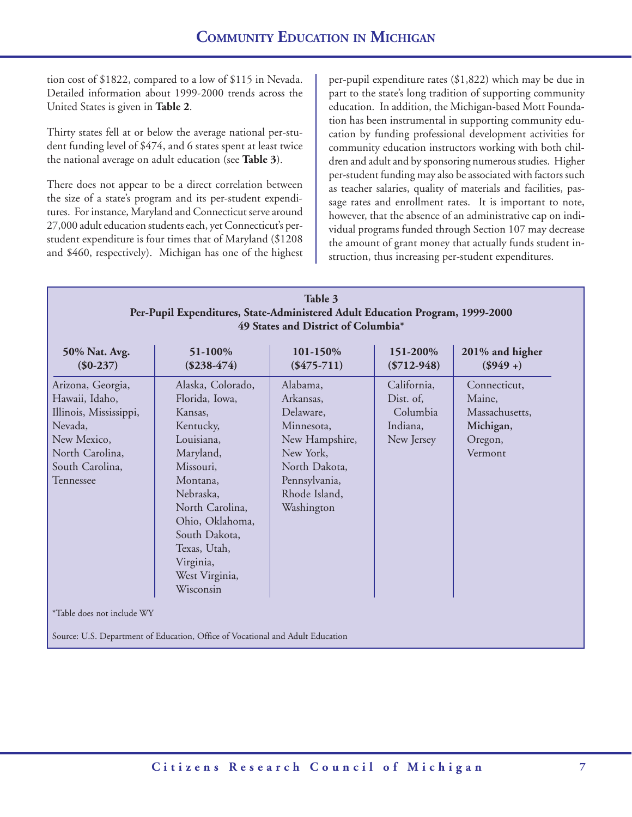tion cost of \$1822, compared to a low of \$115 in Nevada. Detailed information about 1999-2000 trends across the United States is given in **Table 2**.

Thirty states fell at or below the average national per-student funding level of \$474, and 6 states spent at least twice the national average on adult education (see **Table 3**).

There does not appear to be a direct correlation between the size of a state's program and its per-student expenditures. For instance, Maryland and Connecticut serve around 27,000 adult education students each, yet Connecticut's perstudent expenditure is four times that of Maryland (\$1208 and \$460, respectively). Michigan has one of the highest per-pupil expenditure rates (\$1,822) which may be due in part to the state's long tradition of supporting community education. In addition, the Michigan-based Mott Foundation has been instrumental in supporting community education by funding professional development activities for community education instructors working with both children and adult and by sponsoring numerous studies. Higher per-student funding may also be associated with factors such as teacher salaries, quality of materials and facilities, passage rates and enrollment rates. It is important to note, however, that the absence of an administrative cap on individual programs funded through Section 107 may decrease the amount of grant money that actually funds student instruction, thus increasing per-student expenditures.

# **Table 3 Per-Pupil Expenditures, State-Administered Adult Education Program, 1999-2000 49 States and District of Columbia\***

| Alaska, Colorado,<br>California,<br>Alabama,<br>Arizona, Georgia,<br>Hawaii, Idaho,<br>Florida, Iowa,<br>Arkansas,<br>Dist. of,<br>Maine,<br>Columbia<br>Illinois, Mississippi,<br>Delaware,<br>Kansas,<br>Indiana,<br>Nevada,<br>Kentucky,<br>Minnesota,<br>Louisiana,<br>New Mexico,<br>New Hampshire,<br>New Jersey<br>North Carolina,<br>Maryland,<br>New York,<br>South Carolina,<br>North Dakota,<br>Missouri,<br>Montana,<br>Pennsylvania,<br>Tennessee<br>Nebraska,<br>Rhode Island,<br>North Carolina,<br>Washington<br>Ohio, Oklahoma, | 50% Nat. Avg.<br>$(\$0-237)$ | 51-100%<br>$(\$238-474)$ | 101-150%<br>$(\$475-711)$ | 151-200%<br>$(\$712-948)$ | 201% and higher<br>$($949 +)$                                     |
|--------------------------------------------------------------------------------------------------------------------------------------------------------------------------------------------------------------------------------------------------------------------------------------------------------------------------------------------------------------------------------------------------------------------------------------------------------------------------------------------------------------------------------------------------|------------------------------|--------------------------|---------------------------|---------------------------|-------------------------------------------------------------------|
| Texas, Utah,<br>Virginia,<br>West Virginia,<br>Wisconsin                                                                                                                                                                                                                                                                                                                                                                                                                                                                                         |                              | South Dakota,            |                           |                           | Connecticut,<br>Massachusetts,<br>Michigan,<br>Oregon,<br>Vermont |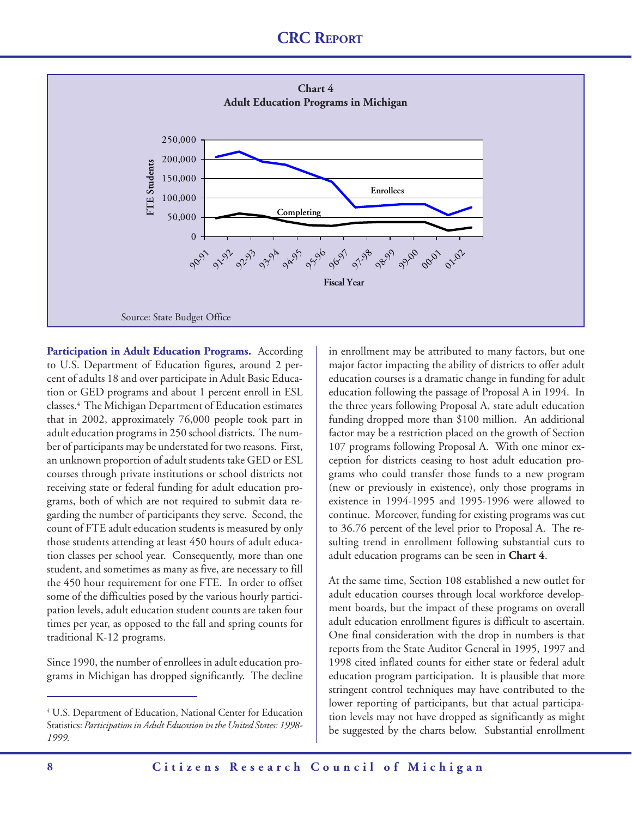

Participation in Adult Education Programs. According to U.S. Department of Education figures, around 2 percent of adults 18 and over participate in Adult Basic Education or GED programs and about 1 percent enroll in ESL classes.4 The Michigan Department of Education estimates that in 2002, approximately 76,000 people took part in adult education programs in 250 school districts. The number of participants may be understated for two reasons. First, an unknown proportion of adult students take GED or ESL courses through private institutions or school districts not receiving state or federal funding for adult education programs, both of which are not required to submit data regarding the number of participants they serve. Second, the count of FTE adult education students is measured by only those students attending at least 450 hours of adult education classes per school year. Consequently, more than one student, and sometimes as many as five, are necessary to fill the 450 hour requirement for one FTE. In order to offset some of the difficulties posed by the various hourly participation levels, adult education student counts are taken four times per year, as opposed to the fall and spring counts for traditional K-12 programs.

Since 1990, the number of enrollees in adult education programs in Michigan has dropped significantly. The decline in enrollment may be attributed to many factors, but one major factor impacting the ability of districts to offer adult education courses is a dramatic change in funding for adult education following the passage of Proposal A in 1994. In the three years following Proposal A, state adult education funding dropped more than \$100 million. An additional factor may be a restriction placed on the growth of Section 107 programs following Proposal A. With one minor exception for districts ceasing to host adult education programs who could transfer those funds to a new program (new or previously in existence), only those programs in existence in 1994-1995 and 1995-1996 were allowed to continue. Moreover, funding for existing programs was cut to 36.76 percent of the level prior to Proposal A. The resulting trend in enrollment following substantial cuts to adult education programs can be seen in **Chart 4**.

At the same time, Section 108 established a new outlet for adult education courses through local workforce development boards, but the impact of these programs on overall adult education enrollment figures is difficult to ascertain. One final consideration with the drop in numbers is that reports from the State Auditor General in 1995, 1997 and 1998 cited inflated counts for either state or federal adult education program participation. It is plausible that more stringent control techniques may have contributed to the lower reporting of participants, but that actual participation levels may not have dropped as significantly as might be suggested by the charts below. Substantial enrollment

<sup>4</sup> U.S. Department of Education, National Center for Education Statistics: *Participation in Adult Education in the United States: 1998- 1999.*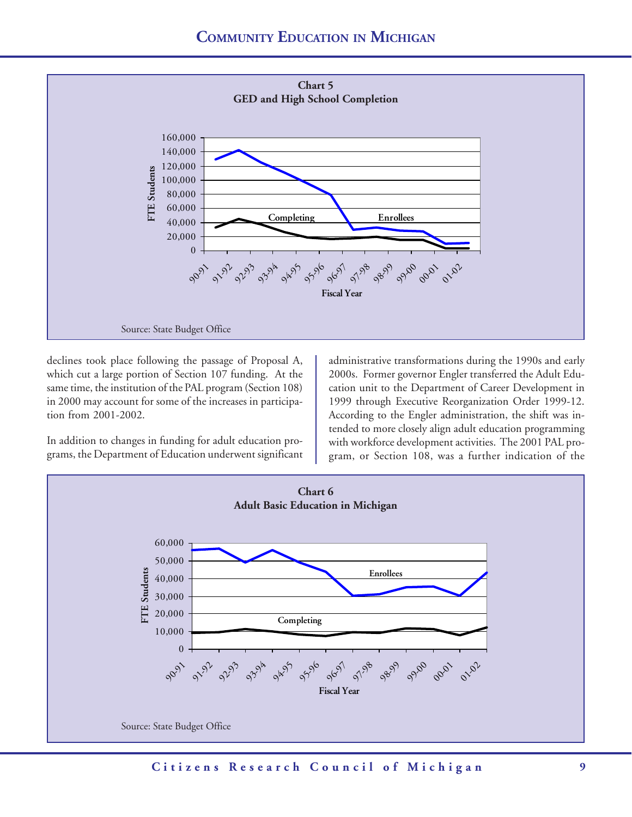

declines took place following the passage of Proposal A, which cut a large portion of Section 107 funding. At the same time, the institution of the PAL program (Section 108) in 2000 may account for some of the increases in participation from 2001-2002.

In addition to changes in funding for adult education programs, the Department of Education underwent significant administrative transformations during the 1990s and early 2000s. Former governor Engler transferred the Adult Education unit to the Department of Career Development in 1999 through Executive Reorganization Order 1999-12. According to the Engler administration, the shift was intended to more closely align adult education programming with workforce development activities. The 2001 PAL program, or Section 108, was a further indication of the

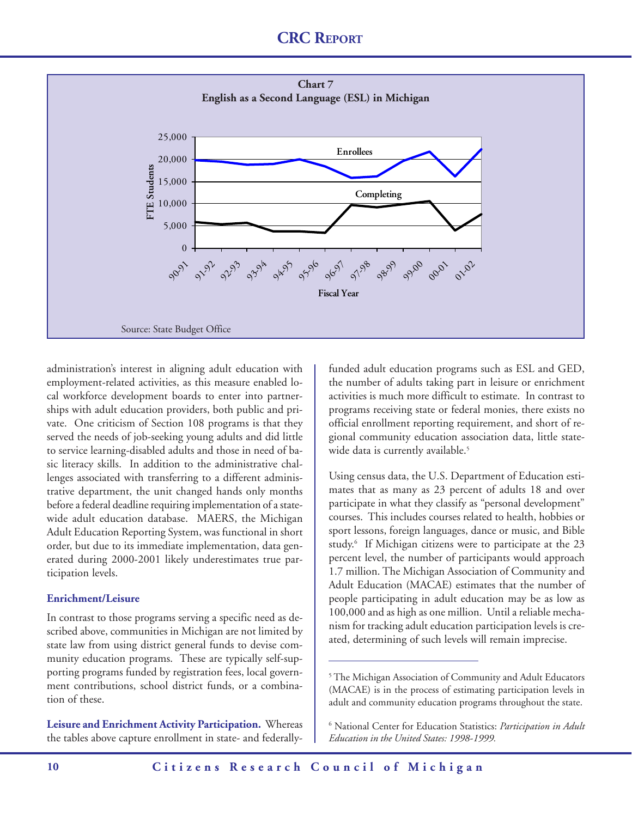

administration's interest in aligning adult education with employment-related activities, as this measure enabled local workforce development boards to enter into partnerships with adult education providers, both public and private. One criticism of Section 108 programs is that they served the needs of job-seeking young adults and did little to service learning-disabled adults and those in need of basic literacy skills. In addition to the administrative challenges associated with transferring to a different administrative department, the unit changed hands only months before a federal deadline requiring implementation of a statewide adult education database. MAERS, the Michigan Adult Education Reporting System, was functional in short order, but due to its immediate implementation, data generated during 2000-2001 likely underestimates true participation levels.

#### **Enrichment/Leisure**

In contrast to those programs serving a specific need as described above, communities in Michigan are not limited by state law from using district general funds to devise community education programs. These are typically self-supporting programs funded by registration fees, local government contributions, school district funds, or a combination of these.

**Leisure and Enrichment Activity Participation.** Whereas the tables above capture enrollment in state- and federallyfunded adult education programs such as ESL and GED, the number of adults taking part in leisure or enrichment activities is much more difficult to estimate. In contrast to programs receiving state or federal monies, there exists no official enrollment reporting requirement, and short of regional community education association data, little statewide data is currently available.<sup>5</sup>

Using census data, the U.S. Department of Education estimates that as many as 23 percent of adults 18 and over participate in what they classify as "personal development" courses. This includes courses related to health, hobbies or sport lessons, foreign languages, dance or music, and Bible study.6 If Michigan citizens were to participate at the 23 percent level, the number of participants would approach 1.7 million. The Michigan Association of Community and Adult Education (MACAE) estimates that the number of people participating in adult education may be as low as 100,000 and as high as one million. Until a reliable mechanism for tracking adult education participation levels is created, determining of such levels will remain imprecise.

<sup>5</sup> The Michigan Association of Community and Adult Educators (MACAE) is in the process of estimating participation levels in adult and community education programs throughout the state.

<sup>6</sup> National Center for Education Statistics: *Participation in Adult Education in the United States: 1998-1999.*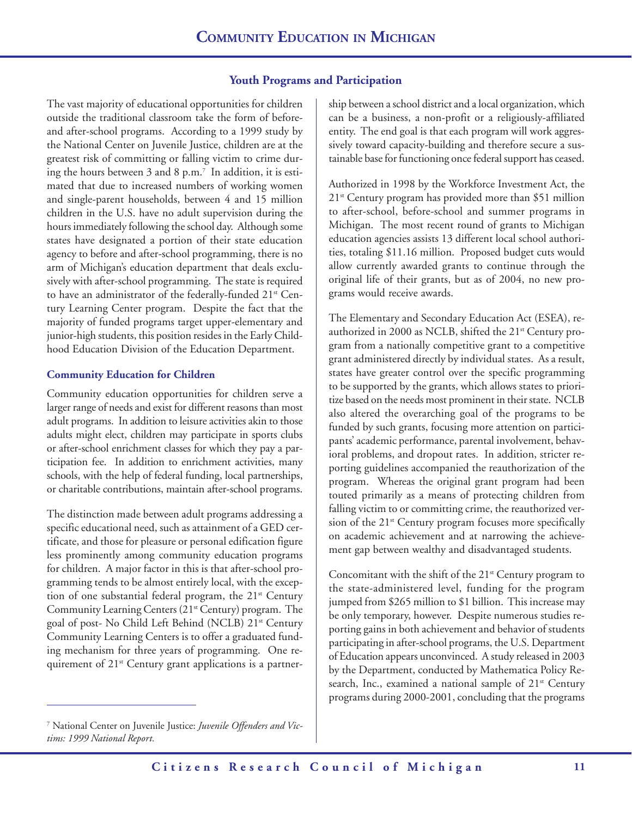#### **Youth Programs and Participation**

The vast majority of educational opportunities for children outside the traditional classroom take the form of beforeand after-school programs. According to a 1999 study by the National Center on Juvenile Justice, children are at the greatest risk of committing or falling victim to crime during the hours between 3 and 8 p.m.7 In addition, it is estimated that due to increased numbers of working women and single-parent households, between 4 and 15 million children in the U.S. have no adult supervision during the hours immediately following the school day. Although some states have designated a portion of their state education agency to before and after-school programming, there is no arm of Michigan's education department that deals exclusively with after-school programming. The state is required to have an administrator of the federally-funded 21<sup>st</sup> Century Learning Center program. Despite the fact that the majority of funded programs target upper-elementary and junior-high students, this position resides in the Early Childhood Education Division of the Education Department.

#### **Community Education for Children**

Community education opportunities for children serve a larger range of needs and exist for different reasons than most adult programs. In addition to leisure activities akin to those adults might elect, children may participate in sports clubs or after-school enrichment classes for which they pay a participation fee. In addition to enrichment activities, many schools, with the help of federal funding, local partnerships, or charitable contributions, maintain after-school programs.

The distinction made between adult programs addressing a specific educational need, such as attainment of a GED certificate, and those for pleasure or personal edification figure less prominently among community education programs for children. A major factor in this is that after-school programming tends to be almost entirely local, with the exception of one substantial federal program, the  $21<sup>st</sup>$  Century Community Learning Centers (21st Century) program. The goal of post- No Child Left Behind (NCLB) 21st Century Community Learning Centers is to offer a graduated funding mechanism for three years of programming. One requirement of 21<sup>st</sup> Century grant applications is a partner-

7 National Center on Juvenile Justice: *Juvenile Offenders and Victims: 1999 National Report.*

ship between a school district and a local organization, which can be a business, a non-profit or a religiously-affiliated entity. The end goal is that each program will work aggressively toward capacity-building and therefore secure a sustainable base for functioning once federal support has ceased.

Authorized in 1998 by the Workforce Investment Act, the  $21<sup>st</sup>$  Century program has provided more than \$51 million to after-school, before-school and summer programs in Michigan. The most recent round of grants to Michigan education agencies assists 13 different local school authorities, totaling \$11.16 million. Proposed budget cuts would allow currently awarded grants to continue through the original life of their grants, but as of 2004, no new programs would receive awards.

The Elementary and Secondary Education Act (ESEA), reauthorized in 2000 as NCLB, shifted the 21<sup>st</sup> Century program from a nationally competitive grant to a competitive grant administered directly by individual states. As a result, states have greater control over the specific programming to be supported by the grants, which allows states to prioritize based on the needs most prominent in their state. NCLB also altered the overarching goal of the programs to be funded by such grants, focusing more attention on participants' academic performance, parental involvement, behavioral problems, and dropout rates. In addition, stricter reporting guidelines accompanied the reauthorization of the program. Whereas the original grant program had been touted primarily as a means of protecting children from falling victim to or committing crime, the reauthorized version of the 21<sup>st</sup> Century program focuses more specifically on academic achievement and at narrowing the achievement gap between wealthy and disadvantaged students.

Concomitant with the shift of the  $21<sup>st</sup>$  Century program to the state-administered level, funding for the program jumped from \$265 million to \$1 billion. This increase may be only temporary, however. Despite numerous studies reporting gains in both achievement and behavior of students participating in after-school programs, the U.S. Department of Education appears unconvinced. A study released in 2003 by the Department, conducted by Mathematica Policy Research, Inc., examined a national sample of  $21<sup>st</sup>$  Century programs during 2000-2001, concluding that the programs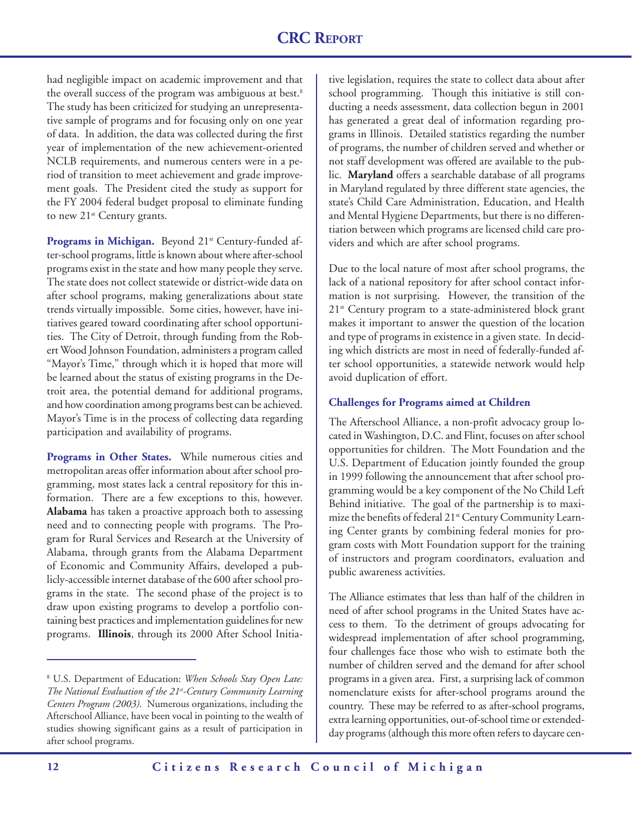had negligible impact on academic improvement and that the overall success of the program was ambiguous at best.<sup>8</sup> The study has been criticized for studying an unrepresentative sample of programs and for focusing only on one year of data. In addition, the data was collected during the first year of implementation of the new achievement-oriented NCLB requirements, and numerous centers were in a period of transition to meet achievement and grade improvement goals. The President cited the study as support for the FY 2004 federal budget proposal to eliminate funding to new 21<sup>st</sup> Century grants.

Programs in Michigan. Beyond 21<sup>st</sup> Century-funded after-school programs, little is known about where after-school programs exist in the state and how many people they serve. The state does not collect statewide or district-wide data on after school programs, making generalizations about state trends virtually impossible. Some cities, however, have initiatives geared toward coordinating after school opportunities. The City of Detroit, through funding from the Robert Wood Johnson Foundation, administers a program called "Mayor's Time," through which it is hoped that more will be learned about the status of existing programs in the Detroit area, the potential demand for additional programs, and how coordination among programs best can be achieved. Mayor's Time is in the process of collecting data regarding participation and availability of programs.

**Programs in Other States.** While numerous cities and metropolitan areas offer information about after school programming, most states lack a central repository for this information. There are a few exceptions to this, however. **Alabama** has taken a proactive approach both to assessing need and to connecting people with programs. The Program for Rural Services and Research at the University of Alabama, through grants from the Alabama Department of Economic and Community Affairs, developed a publicly-accessible internet database of the 600 after school programs in the state. The second phase of the project is to draw upon existing programs to develop a portfolio containing best practices and implementation guidelines for new programs. **Illinois**, through its 2000 After School Initiative legislation, requires the state to collect data about after school programming. Though this initiative is still conducting a needs assessment, data collection begun in 2001 has generated a great deal of information regarding programs in Illinois. Detailed statistics regarding the number of programs, the number of children served and whether or not staff development was offered are available to the public. **Maryland** offers a searchable database of all programs in Maryland regulated by three different state agencies, the state's Child Care Administration, Education, and Health and Mental Hygiene Departments, but there is no differentiation between which programs are licensed child care providers and which are after school programs.

Due to the local nature of most after school programs, the lack of a national repository for after school contact information is not surprising. However, the transition of the 21<sup>st</sup> Century program to a state-administered block grant makes it important to answer the question of the location and type of programs in existence in a given state. In deciding which districts are most in need of federally-funded after school opportunities, a statewide network would help avoid duplication of effort.

#### **Challenges for Programs aimed at Children**

The Afterschool Alliance, a non-profit advocacy group located in Washington, D.C. and Flint, focuses on after school opportunities for children. The Mott Foundation and the U.S. Department of Education jointly founded the group in 1999 following the announcement that after school programming would be a key component of the No Child Left Behind initiative. The goal of the partnership is to maximize the benefits of federal 21<sup>st</sup> Century Community Learning Center grants by combining federal monies for program costs with Mott Foundation support for the training of instructors and program coordinators, evaluation and public awareness activities.

The Alliance estimates that less than half of the children in need of after school programs in the United States have access to them. To the detriment of groups advocating for widespread implementation of after school programming, four challenges face those who wish to estimate both the number of children served and the demand for after school programs in a given area. First, a surprising lack of common nomenclature exists for after-school programs around the country. These may be referred to as after-school programs, extra learning opportunities, out-of-school time or extendedday programs (although this more often refers to daycare cen-

<sup>8</sup> U.S. Department of Education: *When Schools Stay Open Late: The National Evaluation of the 21st-Century Community Learning Centers Program (2003)*. Numerous organizations, including the Afterschool Alliance, have been vocal in pointing to the wealth of studies showing significant gains as a result of participation in after school programs.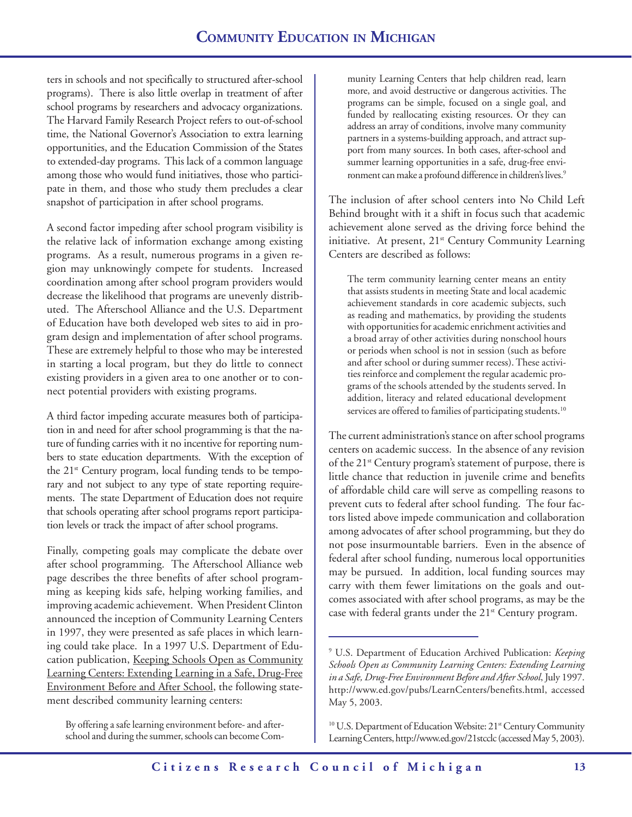ters in schools and not specifically to structured after-school programs). There is also little overlap in treatment of after school programs by researchers and advocacy organizations. The Harvard Family Research Project refers to out-of-school time, the National Governor's Association to extra learning opportunities, and the Education Commission of the States to extended-day programs. This lack of a common language among those who would fund initiatives, those who participate in them, and those who study them precludes a clear snapshot of participation in after school programs.

A second factor impeding after school program visibility is the relative lack of information exchange among existing programs. As a result, numerous programs in a given region may unknowingly compete for students. Increased coordination among after school program providers would decrease the likelihood that programs are unevenly distributed. The Afterschool Alliance and the U.S. Department of Education have both developed web sites to aid in program design and implementation of after school programs. These are extremely helpful to those who may be interested in starting a local program, but they do little to connect existing providers in a given area to one another or to connect potential providers with existing programs.

A third factor impeding accurate measures both of participation in and need for after school programming is that the nature of funding carries with it no incentive for reporting numbers to state education departments. With the exception of the  $21<sup>st</sup>$  Century program, local funding tends to be temporary and not subject to any type of state reporting requirements. The state Department of Education does not require that schools operating after school programs report participation levels or track the impact of after school programs.

Finally, competing goals may complicate the debate over after school programming. The Afterschool Alliance web page describes the three benefits of after school programming as keeping kids safe, helping working families, and improving academic achievement. When President Clinton announced the inception of Community Learning Centers in 1997, they were presented as safe places in which learning could take place. In a 1997 U.S. Department of Education publication, Keeping Schools Open as Community Learning Centers: Extending Learning in a Safe, Drug-Free Environment Before and After School, the following statement described community learning centers:

By offering a safe learning environment before- and afterschool and during the summer, schools can become Community Learning Centers that help children read, learn more, and avoid destructive or dangerous activities. The programs can be simple, focused on a single goal, and funded by reallocating existing resources. Or they can address an array of conditions, involve many community partners in a systems-building approach, and attract support from many sources. In both cases, after-school and summer learning opportunities in a safe, drug-free environment can make a profound difference in children's lives.<sup>9</sup>

The inclusion of after school centers into No Child Left Behind brought with it a shift in focus such that academic achievement alone served as the driving force behind the initiative. At present, 21<sup>st</sup> Century Community Learning Centers are described as follows:

The term community learning center means an entity that assists students in meeting State and local academic achievement standards in core academic subjects, such as reading and mathematics, by providing the students with opportunities for academic enrichment activities and a broad array of other activities during nonschool hours or periods when school is not in session (such as before and after school or during summer recess). These activities reinforce and complement the regular academic programs of the schools attended by the students served. In addition, literacy and related educational development services are offered to families of participating students.<sup>10</sup>

The current administration's stance on after school programs centers on academic success. In the absence of any revision of the 21st Century program's statement of purpose, there is little chance that reduction in juvenile crime and benefits of affordable child care will serve as compelling reasons to prevent cuts to federal after school funding. The four factors listed above impede communication and collaboration among advocates of after school programming, but they do not pose insurmountable barriers. Even in the absence of federal after school funding, numerous local opportunities may be pursued. In addition, local funding sources may carry with them fewer limitations on the goals and outcomes associated with after school programs, as may be the case with federal grants under the 21<sup>st</sup> Century program.

<sup>9</sup> U.S. Department of Education Archived Publication: *Keeping Schools Open as Community Learning Centers: Extending Learning in a Safe, Drug-Free Environment Before and After School*, July 1997. http://www.ed.gov/pubs/LearnCenters/benefits.html, accessed May 5, 2003.

<sup>&</sup>lt;sup>10</sup> U.S. Department of Education Website: 21<sup>st</sup> Century Community Learning Centers, http://www.ed.gov/21stcclc (accessed May 5, 2003).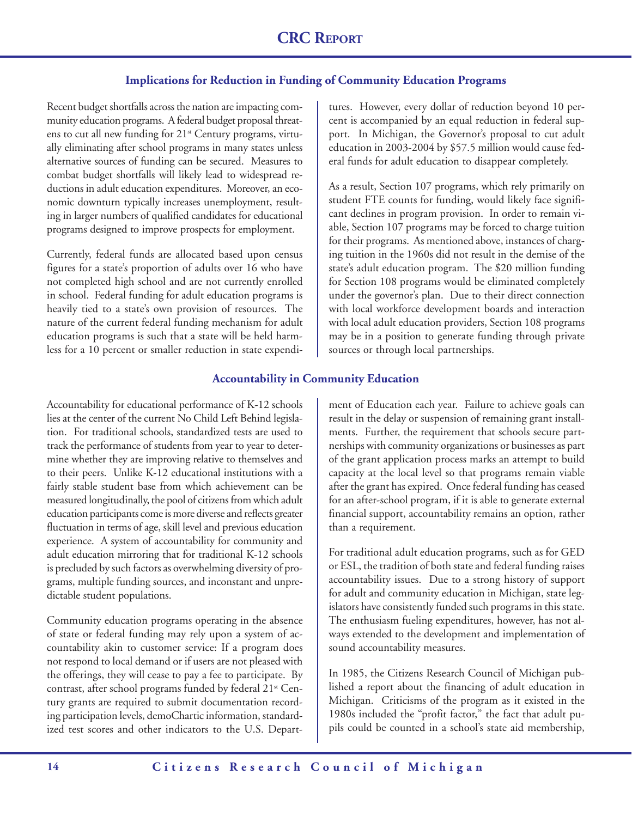#### **Implications for Reduction in Funding of Community Education Programs**

Recent budget shortfalls across the nation are impacting community education programs. A federal budget proposal threatens to cut all new funding for 21<sup>st</sup> Century programs, virtually eliminating after school programs in many states unless alternative sources of funding can be secured. Measures to combat budget shortfalls will likely lead to widespread reductions in adult education expenditures. Moreover, an economic downturn typically increases unemployment, resulting in larger numbers of qualified candidates for educational programs designed to improve prospects for employment.

Currently, federal funds are allocated based upon census figures for a state's proportion of adults over 16 who have not completed high school and are not currently enrolled in school. Federal funding for adult education programs is heavily tied to a state's own provision of resources. The nature of the current federal funding mechanism for adult education programs is such that a state will be held harmless for a 10 percent or smaller reduction in state expenditures. However, every dollar of reduction beyond 10 percent is accompanied by an equal reduction in federal support. In Michigan, the Governor's proposal to cut adult education in 2003-2004 by \$57.5 million would cause federal funds for adult education to disappear completely.

As a result, Section 107 programs, which rely primarily on student FTE counts for funding, would likely face significant declines in program provision. In order to remain viable, Section 107 programs may be forced to charge tuition for their programs. As mentioned above, instances of charging tuition in the 1960s did not result in the demise of the state's adult education program. The \$20 million funding for Section 108 programs would be eliminated completely under the governor's plan. Due to their direct connection with local workforce development boards and interaction with local adult education providers, Section 108 programs may be in a position to generate funding through private sources or through local partnerships.

#### **Accountability in Community Education**

Accountability for educational performance of K-12 schools lies at the center of the current No Child Left Behind legislation. For traditional schools, standardized tests are used to track the performance of students from year to year to determine whether they are improving relative to themselves and to their peers. Unlike K-12 educational institutions with a fairly stable student base from which achievement can be measured longitudinally, the pool of citizens from which adult education participants come is more diverse and reflects greater fluctuation in terms of age, skill level and previous education experience. A system of accountability for community and adult education mirroring that for traditional K-12 schools is precluded by such factors as overwhelming diversity of programs, multiple funding sources, and inconstant and unpredictable student populations.

Community education programs operating in the absence of state or federal funding may rely upon a system of accountability akin to customer service: If a program does not respond to local demand or if users are not pleased with the offerings, they will cease to pay a fee to participate. By contrast, after school programs funded by federal 21<sup>st</sup> Century grants are required to submit documentation recording participation levels, demoChartic information, standardized test scores and other indicators to the U.S. Department of Education each year. Failure to achieve goals can result in the delay or suspension of remaining grant installments. Further, the requirement that schools secure partnerships with community organizations or businesses as part of the grant application process marks an attempt to build capacity at the local level so that programs remain viable after the grant has expired. Once federal funding has ceased for an after-school program, if it is able to generate external financial support, accountability remains an option, rather than a requirement.

For traditional adult education programs, such as for GED or ESL, the tradition of both state and federal funding raises accountability issues. Due to a strong history of support for adult and community education in Michigan, state legislators have consistently funded such programs in this state. The enthusiasm fueling expenditures, however, has not always extended to the development and implementation of sound accountability measures.

In 1985, the Citizens Research Council of Michigan published a report about the financing of adult education in Michigan. Criticisms of the program as it existed in the 1980s included the "profit factor," the fact that adult pupils could be counted in a school's state aid membership,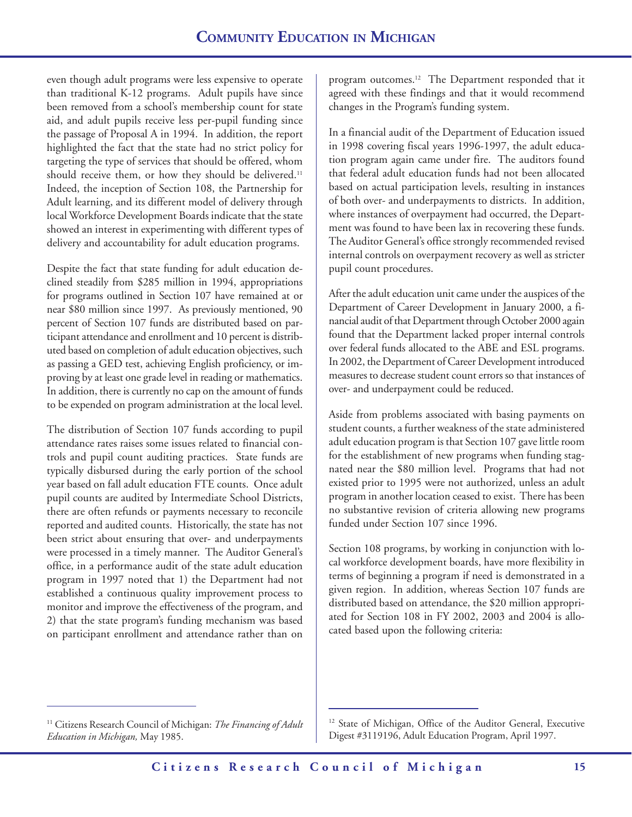even though adult programs were less expensive to operate than traditional K-12 programs. Adult pupils have since been removed from a school's membership count for state aid, and adult pupils receive less per-pupil funding since the passage of Proposal A in 1994. In addition, the report highlighted the fact that the state had no strict policy for targeting the type of services that should be offered, whom should receive them, or how they should be delivered.<sup>11</sup> Indeed, the inception of Section 108, the Partnership for Adult learning, and its different model of delivery through local Workforce Development Boards indicate that the state showed an interest in experimenting with different types of delivery and accountability for adult education programs.

Despite the fact that state funding for adult education declined steadily from \$285 million in 1994, appropriations for programs outlined in Section 107 have remained at or near \$80 million since 1997. As previously mentioned, 90 percent of Section 107 funds are distributed based on participant attendance and enrollment and 10 percent is distributed based on completion of adult education objectives, such as passing a GED test, achieving English proficiency, or improving by at least one grade level in reading or mathematics. In addition, there is currently no cap on the amount of funds to be expended on program administration at the local level.

The distribution of Section 107 funds according to pupil attendance rates raises some issues related to financial controls and pupil count auditing practices. State funds are typically disbursed during the early portion of the school year based on fall adult education FTE counts. Once adult pupil counts are audited by Intermediate School Districts, there are often refunds or payments necessary to reconcile reported and audited counts. Historically, the state has not been strict about ensuring that over- and underpayments were processed in a timely manner. The Auditor General's office, in a performance audit of the state adult education program in 1997 noted that 1) the Department had not established a continuous quality improvement process to monitor and improve the effectiveness of the program, and 2) that the state program's funding mechanism was based on participant enrollment and attendance rather than on

program outcomes.12 The Department responded that it agreed with these findings and that it would recommend changes in the Program's funding system.

In a financial audit of the Department of Education issued in 1998 covering fiscal years 1996-1997, the adult education program again came under fire. The auditors found that federal adult education funds had not been allocated based on actual participation levels, resulting in instances of both over- and underpayments to districts. In addition, where instances of overpayment had occurred, the Department was found to have been lax in recovering these funds. The Auditor General's office strongly recommended revised internal controls on overpayment recovery as well as stricter pupil count procedures.

After the adult education unit came under the auspices of the Department of Career Development in January 2000, a financial audit of that Department through October 2000 again found that the Department lacked proper internal controls over federal funds allocated to the ABE and ESL programs. In 2002, the Department of Career Development introduced measures to decrease student count errors so that instances of over- and underpayment could be reduced.

Aside from problems associated with basing payments on student counts, a further weakness of the state administered adult education program is that Section 107 gave little room for the establishment of new programs when funding stagnated near the \$80 million level. Programs that had not existed prior to 1995 were not authorized, unless an adult program in another location ceased to exist. There has been no substantive revision of criteria allowing new programs funded under Section 107 since 1996.

Section 108 programs, by working in conjunction with local workforce development boards, have more flexibility in terms of beginning a program if need is demonstrated in a given region. In addition, whereas Section 107 funds are distributed based on attendance, the \$20 million appropriated for Section 108 in FY 2002, 2003 and 2004 is allocated based upon the following criteria:

<sup>11</sup> Citizens Research Council of Michigan: *The Financing of Adult Education in Michigan,* May 1985.

<sup>&</sup>lt;sup>12</sup> State of Michigan, Office of the Auditor General, Executive Digest #3119196, Adult Education Program, April 1997.